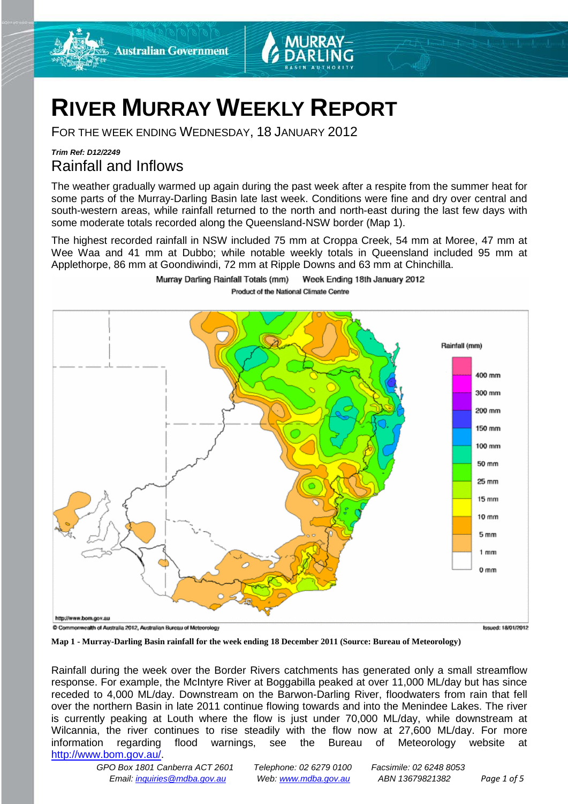



# **RIVER MURRAY WEEKLY REPORT**

FOR THE WEEK ENDING WEDNESDAY, 18 JANUARY 2012

## *Trim Ref: D12/2249* Rainfall and Inflows

The weather gradually warmed up again during the past week after a respite from the summer heat for some parts of the Murray-Darling Basin late last week. Conditions were fine and dry over central and south-western areas, while rainfall returned to the north and north-east during the last few days with some moderate totals recorded along the Queensland-NSW border (Map 1).

The highest recorded rainfall in NSW included 75 mm at Croppa Creek, 54 mm at Moree, 47 mm at Wee Waa and 41 mm at Dubbo; while notable weekly totals in Queensland included 95 mm at Applethorpe, 86 mm at Goondiwindi, 72 mm at Ripple Downs and 63 mm at Chinchilla.



Murray Darling Rainfall Totals (mm) Week Ending 18th January 2012 Product of the National Climate Centre

**Map 1 - Murray-Darling Basin rainfall for the week ending 18 December 2011 (Source: Bureau of Meteorology)**

Rainfall during the week over the Border Rivers catchments has generated only a small streamflow response. For example, the McIntyre River at Boggabilla peaked at over 11,000 ML/day but has since receded to 4,000 ML/day. Downstream on the Barwon-Darling River, floodwaters from rain that fell over the northern Basin in late 2011 continue flowing towards and into the Menindee Lakes. The river is currently peaking at Louth where the flow is just under 70,000 ML/day, while downstream at Wilcannia, the river continues to rise steadily with the flow now at 27,600 ML/day. For more information regarding flood warnings, see the Bureau of Meteorology website at [http://www.bom.gov.au/.](http://www.bom.gov.au/)

*GPO Box 1801 Canberra ACT 2601 Telephone: 02 6279 0100 Facsimile: 02 6248 8053 Email: [inquiries@mdba.gov.au](mailto:inquiries@mdba.gov.au) Web: [www.mdba.gov.au](http://www.mdba.gov.au/) ABN 13679821382 Page 1 of 5*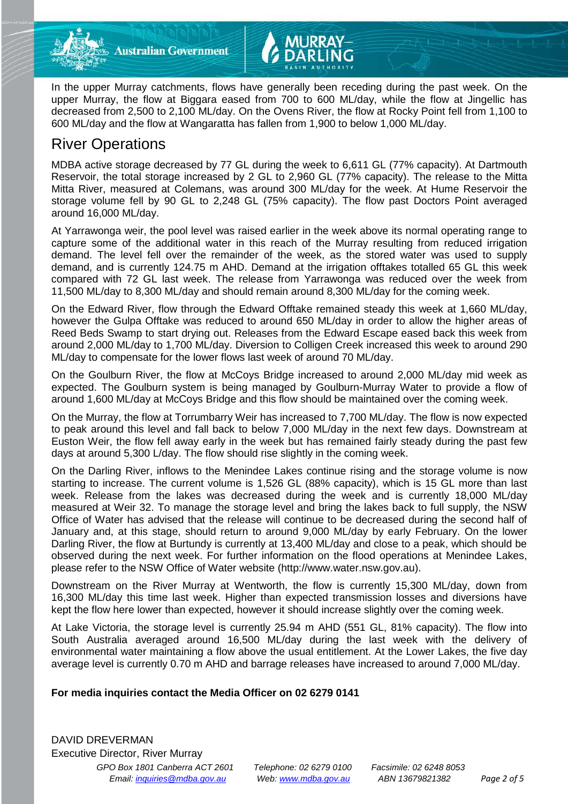

In the upper Murray catchments, flows have generally been receding during the past week. On the upper Murray, the flow at Biggara eased from 700 to 600 ML/day, while the flow at Jingellic has decreased from 2,500 to 2,100 ML/day. On the Ovens River, the flow at Rocky Point fell from 1,100 to 600 ML/day and the flow at Wangaratta has fallen from 1,900 to below 1,000 ML/day.

## River Operations

MDBA active storage decreased by 77 GL during the week to 6,611 GL (77% capacity). At Dartmouth Reservoir, the total storage increased by 2 GL to 2,960 GL (77% capacity). The release to the Mitta Mitta River, measured at Colemans, was around 300 ML/day for the week. At Hume Reservoir the storage volume fell by 90 GL to 2,248 GL (75% capacity). The flow past Doctors Point averaged around 16,000 ML/day.

At Yarrawonga weir, the pool level was raised earlier in the week above its normal operating range to capture some of the additional water in this reach of the Murray resulting from reduced irrigation demand. The level fell over the remainder of the week, as the stored water was used to supply demand, and is currently 124.75 m AHD. Demand at the irrigation offtakes totalled 65 GL this week compared with 72 GL last week. The release from Yarrawonga was reduced over the week from 11,500 ML/day to 8,300 ML/day and should remain around 8,300 ML/day for the coming week.

On the Edward River, flow through the Edward Offtake remained steady this week at 1,660 ML/day, however the Gulpa Offtake was reduced to around 650 ML/day in order to allow the higher areas of Reed Beds Swamp to start drying out. Releases from the Edward Escape eased back this week from around 2,000 ML/day to 1,700 ML/day. Diversion to Colligen Creek increased this week to around 290 ML/day to compensate for the lower flows last week of around 70 ML/day.

On the Goulburn River, the flow at McCoys Bridge increased to around 2,000 ML/day mid week as expected. The Goulburn system is being managed by Goulburn-Murray Water to provide a flow of around 1,600 ML/day at McCoys Bridge and this flow should be maintained over the coming week.

On the Murray, the flow at Torrumbarry Weir has increased to 7,700 ML/day. The flow is now expected to peak around this level and fall back to below 7,000 ML/day in the next few days. Downstream at Euston Weir, the flow fell away early in the week but has remained fairly steady during the past few days at around 5,300 L/day. The flow should rise slightly in the coming week.

On the Darling River, inflows to the Menindee Lakes continue rising and the storage volume is now starting to increase. The current volume is 1,526 GL (88% capacity), which is 15 GL more than last week. Release from the lakes was decreased during the week and is currently 18,000 ML/day measured at Weir 32. To manage the storage level and bring the lakes back to full supply, the NSW Office of Water has advised that the release will continue to be decreased during the second half of January and, at this stage, should return to around 9,000 ML/day by early February. On the lower Darling River, the flow at Burtundy is currently at 13,400 ML/day and close to a peak, which should be observed during the next week. For further information on the flood operations at Menindee Lakes, please refer to the NSW Office of Water website (http://www.water.nsw.gov.au).

Downstream on the River Murray at Wentworth, the flow is currently 15,300 ML/day, down from 16,300 ML/day this time last week. Higher than expected transmission losses and diversions have kept the flow here lower than expected, however it should increase slightly over the coming week.

At Lake Victoria, the storage level is currently 25.94 m AHD (551 GL, 81% capacity). The flow into South Australia averaged around 16,500 ML/day during the last week with the delivery of environmental water maintaining a flow above the usual entitlement. At the Lower Lakes, the five day average level is currently 0.70 m AHD and barrage releases have increased to around 7,000 ML/day.

## **For media inquiries contact the Media Officer on 02 6279 0141**

*GPO Box 1801 Canberra ACT 2601 Telephone: 02 6279 0100 Facsimile: 02 6248 8053 Email: [inquiries@mdba.gov.au](mailto:inquiries@mdba.gov.au) Web: [www.mdba.gov.au](http://www.mdba.gov.au/) ABN 13679821382 Page 2 of 5* DAVID DREVERMAN Executive Director, River Murray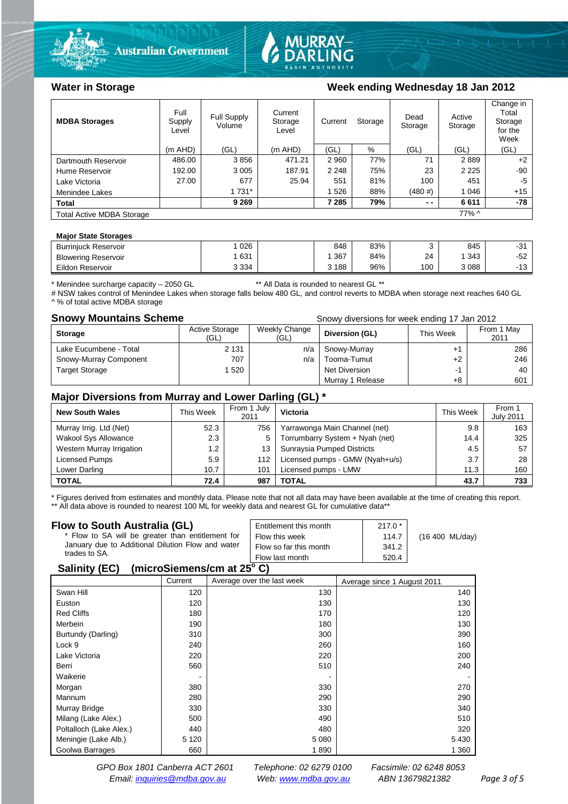



## Water in Storage Week ending Wednesday 18 Jan 2012

| <b>MDBA Storages</b>             | Full<br>Supply<br>Level | Full Supply<br>Volume | Current<br>Storage<br>Level | Current | Storage | Dead<br>Storage | Active<br>Storage | Change in<br>Total<br>Storage<br>for the<br>Week |
|----------------------------------|-------------------------|-----------------------|-----------------------------|---------|---------|-----------------|-------------------|--------------------------------------------------|
|                                  | $(m$ AHD)               | (GL)                  | $(m$ AHD)                   | (GL)    | %       | (GL)            | (GL)              | (GL)                                             |
| Dartmouth Reservoir              | 486.00                  | 3856                  | 471.21                      | 2 9 6 0 | 77%     | 71              | 2889              | $+2$                                             |
| Hume Reservoir                   | 192.00                  | 3 0 0 5               | 187.91                      | 2 2 4 8 | 75%     | 23              | 2 2 2 5           | $-90$                                            |
| Lake Victoria                    | 27.00                   | 677                   | 25.94                       | 551     | 81%     | 100             | 451               | -5                                               |
| Menindee Lakes                   |                         | 1 731*                |                             | 1 526   | 88%     | (480#)          | 1 0 4 6           | $+15$                                            |
| <b>Total</b>                     |                         | 9 2 6 9               |                             | 7 285   | 79%     | $ -$            | 6611              | -78                                              |
| <b>Total Active MDBA Storage</b> |                         |                       |                             |         |         |                 | 77% ^             |                                                  |

## **Major State Storages**

| <b>Burriniuck Reservoir</b> | 026     | 848   | 83% |     | 845  | $-31$                |
|-----------------------------|---------|-------|-----|-----|------|----------------------|
| <b>Blowering Reservoir</b>  | 631     | .367  | 84% | 24  | 343  | -52                  |
| Eildon Reservoir            | 3 3 3 4 | 3 188 | 96% | 100 | 3088 | $\overline{A}$<br>ιv |

\* Menindee surcharge capacity – 2050 GL \*\* All Data is rounded to nearest GL \*\*

# NSW takes control of Menindee Lakes when storage falls below 480 GL, and control reverts to MDBA when storage next reaches 640 GL ^ % of total active MDBA storage

**Snowy Mountains Scheme Snowy diversions for week ending 17 Jan 2012** 

| <b>Storage</b>         | <b>Active Storage</b><br>(GL) | Weekly Change<br>(GL) | Diversion (GL)   | This Week | From 1 May<br>2011 |
|------------------------|-------------------------------|-----------------------|------------------|-----------|--------------------|
| Lake Eucumbene - Total | 2 1 3 1                       | n/a                   | Snowy-Murray     |           | 286                |
| Snowy-Murray Component | 707                           | n/a                   | Tooma-Tumut      | $+2$      | 246                |
| <b>Target Storage</b>  | 1520                          |                       | Net Diversion    | -1        | 40                 |
|                        |                               |                       | Murray 1 Release | +8        | 601                |

## **Major Diversions from Murray and Lower Darling (GL) \***

| <b>New South Wales</b>    | This Week | From 1 July<br>2011 | Victoria                        | This Week | From 1<br><b>July 2011</b> |
|---------------------------|-----------|---------------------|---------------------------------|-----------|----------------------------|
| Murray Irrig. Ltd (Net)   | 52.3      | 756                 | Yarrawonga Main Channel (net)   | 9.8       | 163                        |
| Wakool Sys Allowance      | 2.3       | 5                   | Torrumbarry System + Nyah (net) | 14.4      | 325                        |
| Western Murray Irrigation | 1.2       | 13                  | Sunraysia Pumped Districts      | 4.5       | 57                         |
| Licensed Pumps            | 5.9       | 112                 | Licensed pumps - GMW (Nyah+u/s) | 3.7       | 28                         |
| Lower Darling             | 10.7      | 101                 | Licensed pumps - LMW            | 11.3      | 160                        |
| <b>TOTAL</b>              | 72.4      | 987                 | TOTAL                           | 43.7      | 733                        |

\* Figures derived from estimates and monthly data. Please note that not all data may have been available at the time of creating this report. \*\* All data above is rounded to nearest 100 ML for weekly data and nearest GL for cumulative data\*\*

| Flow to South Australia (GL)                                 | Entitlement this month | $217.0*$ |                 |  |  |  |
|--------------------------------------------------------------|------------------------|----------|-----------------|--|--|--|
| * Flow to SA will be greater than entitlement for            | Flow this week         | 114.7    | (16 400 ML/day) |  |  |  |
| January due to Additional Dilution Flow and water            | Flow so far this month | 341.2    |                 |  |  |  |
| trades to SA.                                                | Flow last month        | 520.4    |                 |  |  |  |
| (microSiemens/cm at 25 $^{\circ}$ C)<br><b>Salinity (EC)</b> |                        |          |                 |  |  |  |

## Current Average over the last week Average since 1 August 2011

|                         | <b>CULLEIR</b> | AVEIQUE UVEI LITE IQUI WEEN | Average since T August 2011 |
|-------------------------|----------------|-----------------------------|-----------------------------|
| Swan Hill               | 120            | 130                         | 140                         |
| Euston                  | 120            | 130                         | 130                         |
| <b>Red Cliffs</b>       | 180            | 170                         | 120                         |
| Merbein                 | 190            | 180                         | 130                         |
| Burtundy (Darling)      | 310            | 300                         | 390                         |
| Lock 9                  | 240            | 260                         | 160                         |
| Lake Victoria           | 220            | 220                         | 200                         |
| Berri                   | 560            | 510                         | 240                         |
| Waikerie                |                |                             |                             |
| Morgan                  | 380            | 330                         | 270                         |
| Mannum                  | 280            | 290                         | 290                         |
| Murray Bridge           | 330            | 330                         | 340                         |
| Milang (Lake Alex.)     | 500            | 490                         | 510                         |
| Poltalloch (Lake Alex.) | 440            | 480                         | 320                         |
| Meningie (Lake Alb.)    | 5 1 2 0        | 5 0 8 0                     | 5430                        |
| Goolwa Barrages         | 660            | 1890                        | 1 3 6 0                     |
|                         |                |                             |                             |

*GPO Box 1801 Canberra ACT 2601 Telephone: 02 6279 0100 Facsimile: 02 6248 8053 Email: [inquiries@mdba.gov.au](mailto:inquiries@mdba.gov.au) Web: [www.mdba.gov.au](http://www.mdba.gov.au/) ABN 13679821382 Page 3 of 5*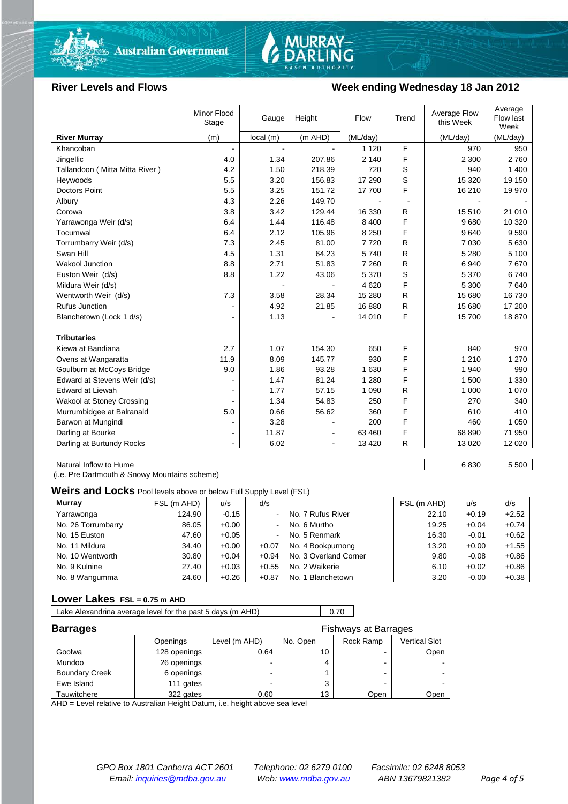

# MURRAY-<br>DARLING

## **River Levels and Flows Week ending Wednesday 18 Jan 2012**

|                                  | Minor Flood<br>Stage | Gauge    | Height  | Flow     | Trend | Average Flow<br>this Week | Average<br>Flow last<br>Week |
|----------------------------------|----------------------|----------|---------|----------|-------|---------------------------|------------------------------|
| <b>River Murray</b>              | (m)                  | local(m) | (m AHD) | (ML/day) |       | (ML/day)                  | (ML/day)                     |
| Khancoban                        |                      |          |         | 1 1 2 0  | F     | 970                       | 950                          |
| Jingellic                        | 4.0                  | 1.34     | 207.86  | 2 1 4 0  | F     | 2 3 0 0                   | 2760                         |
| Tallandoon (Mitta Mitta River)   | 4.2                  | 1.50     | 218.39  | 720      | S     | 940                       | 1 400                        |
| Heywoods                         | 5.5                  | 3.20     | 156.83  | 17 290   | S     | 15 3 20                   | 19 150                       |
| <b>Doctors Point</b>             | 5.5                  | 3.25     | 151.72  | 17 700   | F     | 16 210                    | 19 970                       |
| Albury                           | 4.3                  | 2.26     | 149.70  |          |       |                           |                              |
| Corowa                           | 3.8                  | 3.42     | 129.44  | 16 330   | R     | 15 510                    | 21 010                       |
| Yarrawonga Weir (d/s)            | 6.4                  | 1.44     | 116.48  | 8 4 0 0  | F     | 9680                      | 10 320                       |
| Tocumwal                         | 6.4                  | 2.12     | 105.96  | 8 2 5 0  | F     | 9640                      | 9590                         |
| Torrumbarry Weir (d/s)           | 7.3                  | 2.45     | 81.00   | 7720     | R     | 7 0 3 0                   | 5 6 3 0                      |
| Swan Hill                        | 4.5                  | 1.31     | 64.23   | 5740     | R     | 5 2 8 0                   | 5 100                        |
| Wakool Junction                  | 8.8                  | 2.71     | 51.83   | 7 2 6 0  | R     | 6940                      | 7670                         |
| Euston Weir (d/s)                | 8.8                  | 1.22     | 43.06   | 5 3 7 0  | S     | 5 3 7 0                   | 6740                         |
| Mildura Weir (d/s)               |                      |          |         | 4620     | F     | 5 300                     | 7640                         |
| Wentworth Weir (d/s)             | 7.3                  | 3.58     | 28.34   | 15 280   | R     | 15 680                    | 16 730                       |
| <b>Rufus Junction</b>            |                      | 4.92     | 21.85   | 16880    | R     | 15 680                    | 17 200                       |
| Blanchetown (Lock 1 d/s)         | ۰                    | 1.13     |         | 14 010   | F     | 15700                     | 18870                        |
|                                  |                      |          |         |          |       |                           |                              |
| <b>Tributaries</b>               |                      |          |         |          |       |                           |                              |
| Kiewa at Bandiana                | 2.7                  | 1.07     | 154.30  | 650      | F     | 840                       | 970                          |
| Ovens at Wangaratta              | 11.9                 | 8.09     | 145.77  | 930      | F     | 1 2 1 0                   | 1 2 7 0                      |
| Goulburn at McCoys Bridge        | 9.0                  | 1.86     | 93.28   | 1 630    | F     | 1 940                     | 990                          |
| Edward at Stevens Weir (d/s)     |                      | 1.47     | 81.24   | 1 2 8 0  | F     | 1 500                     | 1 3 3 0                      |
| <b>Edward at Liewah</b>          |                      | 1.77     | 57.15   | 1 0 9 0  | R     | 1 0 0 0                   | 1 0 7 0                      |
| <b>Wakool at Stoney Crossing</b> |                      | 1.34     | 54.83   | 250      | F     | 270                       | 340                          |
| Murrumbidgee at Balranald        | 5.0                  | 0.66     | 56.62   | 360      | F     | 610                       | 410                          |
| Barwon at Mungindi               |                      | 3.28     |         | 200      | F     | 460                       | 1 0 5 0                      |
| Darling at Bourke                | ۰                    | 11.87    |         | 63 460   | F     | 68 890                    | 71 950                       |
| Darling at Burtundy Rocks        |                      | 6.02     |         | 13 4 20  | R     | 13 0 20                   | 12 0 20                      |

Natural Inflow to Hume 6 830 5 500

(i.e. Pre Dartmouth & Snowy Mountains scheme)

**Weirs and Locks** Pool levels above or below Full Supply Level (FSL)

| <b>Murray</b>      | FSL (m AHD) | u/s     | d/s            |                       | FSL (m AHD) | u/s     | d/s     |
|--------------------|-------------|---------|----------------|-----------------------|-------------|---------|---------|
| Yarrawonga         | 124.90      | $-0.15$ | $\blacksquare$ | No. 7 Rufus River     | 22.10       | $+0.19$ | $+2.52$ |
| No. 26 Torrumbarry | 86.05       | $+0.00$ | $\blacksquare$ | No. 6 Murtho          | 19.25       | $+0.04$ | $+0.74$ |
| No. 15 Euston      | 47.60       | $+0.05$ | $\blacksquare$ | No. 5 Renmark         | 16.30       | $-0.01$ | $+0.62$ |
| No. 11 Mildura     | 34.40       | $+0.00$ | $+0.07$        | No. 4 Bookpurnong     | 13.20       | $+0.00$ | $+1.55$ |
| No. 10 Wentworth   | 30.80       | $+0.04$ | $+0.94$        | No. 3 Overland Corner | 9.80        | $-0.08$ | $+0.86$ |
| No. 9 Kulnine      | 27.40       | $+0.03$ | $+0.55$        | No. 2 Waikerie        | 6.10        | $+0.02$ | $+0.86$ |
| No. 8 Wangumma     | 24.60       | $+0.26$ | $+0.87$        | No. 1 Blanchetown     | 3.20        | $-0.00$ | $+0.38$ |

## **Lower Lakes FSL = 0.75 m AHD**

|  | Lake Alexandrina average level for the past 5 days (m AHD) |  | 0.70 |
|--|------------------------------------------------------------|--|------|
|--|------------------------------------------------------------|--|------|

| <b>Barrages</b>       |              |               |          | <b>Fishways at Barrages</b> |               |
|-----------------------|--------------|---------------|----------|-----------------------------|---------------|
|                       | Openings     | Level (m AHD) | No. Open | Rock Ramp                   | Vertical Slot |
| Goolwa                | 128 openings | 0.64          | 10       | -                           | Open          |
| Mundoo                | 26 openings  |               |          |                             |               |
| <b>Boundary Creek</b> | 6 openings   |               |          | -                           |               |
| Ewe Island            | 111 gates    |               |          | -                           |               |
| Tauwitchere           | 322 gates    | 0.60          | 13       | Open                        | Open          |

AHD = Level relative to Australian Height Datum, i.e. height above sea level